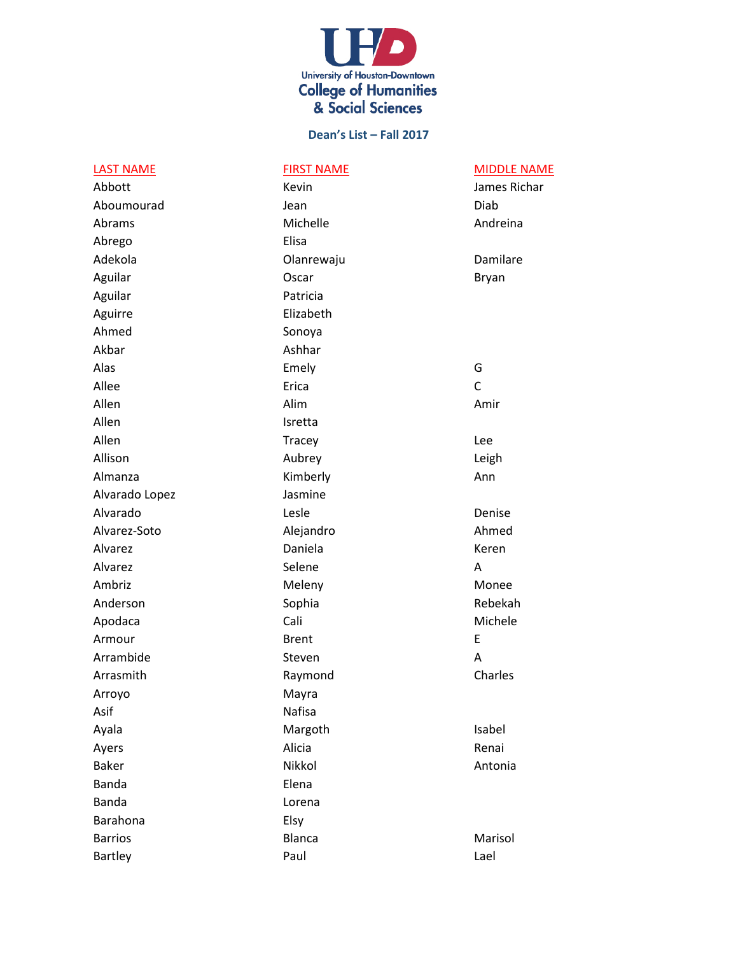

| <b>LAST NAME</b> | <b>FIRST NAME</b> | <b>MIDDLE NAME</b> |
|------------------|-------------------|--------------------|
| Abbott           | Kevin             | James Richar       |
| Aboumourad       | Jean              | Diab               |
| Abrams           | Michelle          | Andreina           |
| Abrego           | Elisa             |                    |
| Adekola          | Olanrewaju        | Damilare           |
| Aguilar          | Oscar             | <b>Bryan</b>       |
| Aguilar          | Patricia          |                    |
| Aguirre          | Elizabeth         |                    |
| Ahmed            | Sonoya            |                    |
| Akbar            | Ashhar            |                    |
| Alas             | Emely             | G                  |
| Allee            | Erica             | $\mathsf{C}$       |
| Allen            | Alim              | Amir               |
| Allen            | Isretta           |                    |
| Allen            | <b>Tracey</b>     | Lee                |
| Allison          | Aubrey            | Leigh              |
| Almanza          | Kimberly          | Ann                |
| Alvarado Lopez   | Jasmine           |                    |
| Alvarado         | Lesle             | Denise             |
| Alvarez-Soto     | Alejandro         | Ahmed              |
| Alvarez          | Daniela           | Keren              |
| Alvarez          | Selene            | А                  |
| Ambriz           | Meleny            | Monee              |
| Anderson         | Sophia            | Rebekah            |
| Apodaca          | Cali              | Michele            |
| Armour           | <b>Brent</b>      | E                  |
| Arrambide        | Steven            | A                  |
| Arrasmith        | Raymond           | Charles            |
| Arroyo           | Mayra             |                    |
| Asif             | Nafisa            |                    |
| Ayala            | Margoth           | Isabel             |
| Ayers            | Alicia            | Renai              |
| <b>Baker</b>     | Nikkol            | Antonia            |
| Banda            | Elena             |                    |
| <b>Banda</b>     | Lorena            |                    |
| Barahona         | Elsy              |                    |
| <b>Barrios</b>   | Blanca            | Marisol            |
| Bartley          | Paul              | Lael               |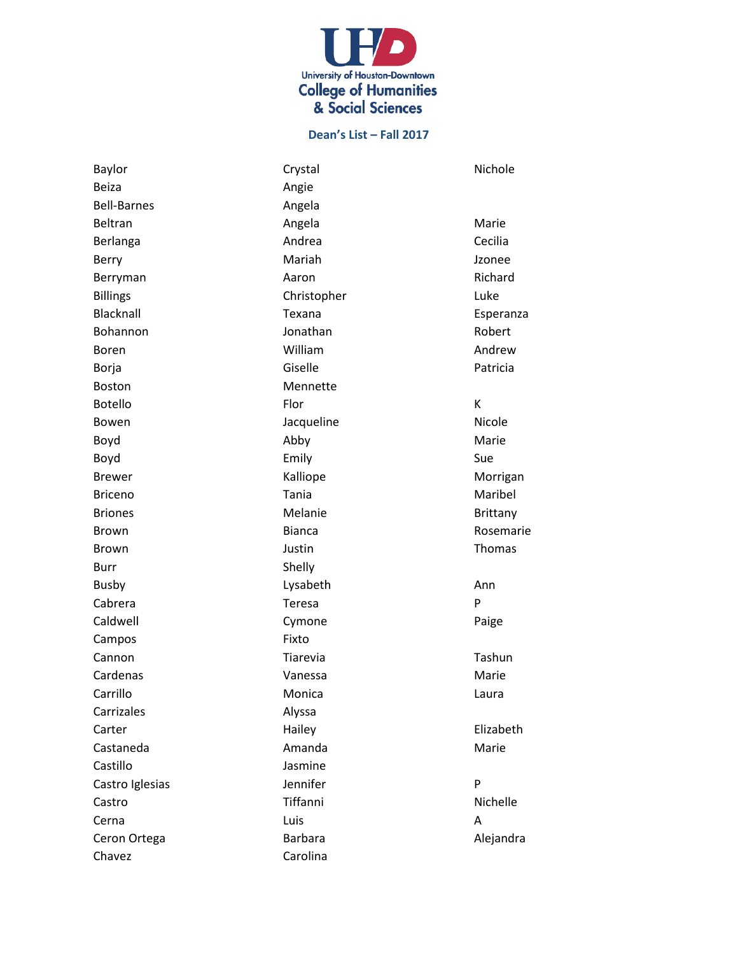

Baylor **Crystal** Crystal **Crystal** Crystal Nichole Beiza **Angie** Angie Bell-Barnes **Angela** Beltran **Angela** Angela Marie Berlanga **Andrea** Andrea Cecilia Berry **Mariah** Mariah **Mariah** Jzonee Berryman **Aaron** Aaron **Richard** Billings **Christopher** Christopher Luke Blacknall **Exana Exana** Esperanza Bohannon **Bohannon** Jonathan **Robert** Boren **Manuel Communist Communist Communist Communist Communist Communist Communist Communist Communist Communist Communist Communist Communist Communist Communist Communist Communist Communist Communist Communist Communis** Borja **Giselle** Giselle **Patricia** Boston Mennette Botello Flor K Bowen **Contract Contract According Service According Service According According Contract According Nicole** Boyd **Abby** Abby Marie Boyd Sue **Emily** Sue Brewer Morrigan Morrigan Kalliope Morrigan Briceno **Maribel** Tania **Maribel** Maribel Briones **Melanie** Melanie **Brittany** Brown Bianca Rosemarie Brown and the settlement of the settlement of the settlement of the settlement of the Sheet of the Sheet of th Burr Shelly Busby **Bushing Community** Lysabeth **Ann** Cabrera Teresa P Caldwell **Cymone** Cymone Paige Campos Fixto Cannon **Tiarevia** Tiarevia **Transformation** Tashun Cardenas **Vanessa** Vanessa Marie Carrillo Monica Laura Carrizales Alyssa Carter **Elizabeth** Hailey **Hailey Elizabeth** Castaneda Amanda Marie Castillo Jasmine Castro Iglesias **Solution** Bennifer Personal Personal Personal Personal Personal Personal Personal Personal Personal Personal Personal Personal Personal Personal Personal Personal Personal Personal Personal Personal Person Castro **Tiffanni** Tiffanni Nichelle Cerna Luis A Ceron Ortega **Barbara** Barbara **Alejandra** Alejandra Chavez Carolina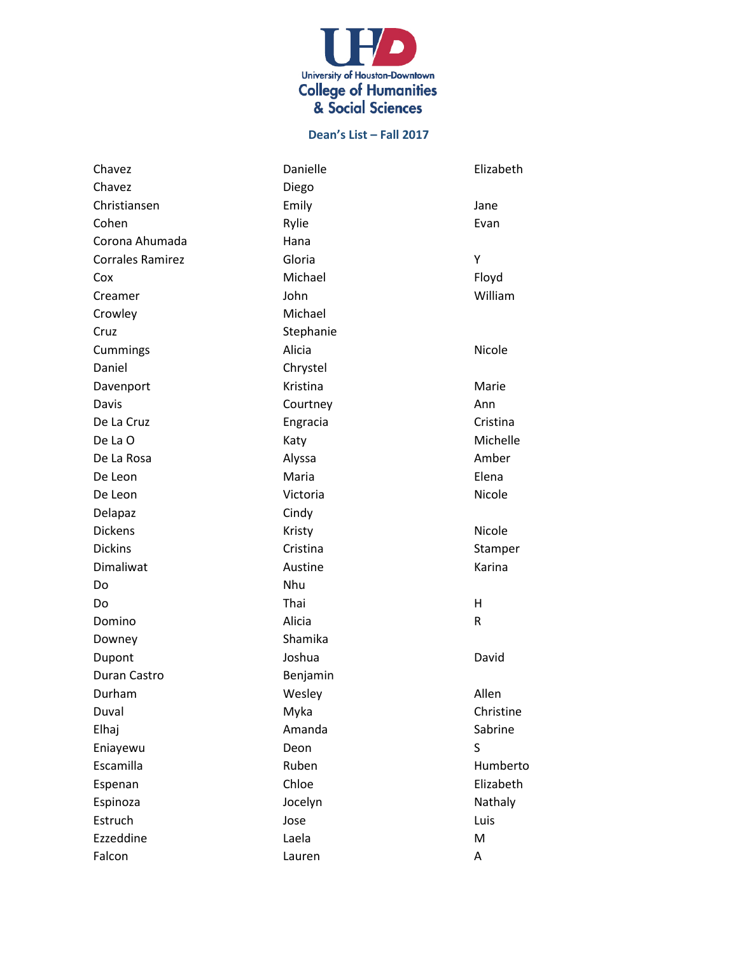

| Chavez                  | Danielle  | Elizabeth |
|-------------------------|-----------|-----------|
| Chavez                  | Diego     |           |
| Christiansen            | Emily     | Jane      |
| Cohen                   | Rylie     | Evan      |
| Corona Ahumada          | Hana      |           |
| <b>Corrales Ramirez</b> | Gloria    | Y         |
| Cox                     | Michael   | Floyd     |
| Creamer                 | John      | William   |
| Crowley                 | Michael   |           |
| Cruz                    | Stephanie |           |
| Cummings                | Alicia    | Nicole    |
| Daniel                  | Chrystel  |           |
| Davenport               | Kristina  | Marie     |
| Davis                   | Courtney  | Ann       |
| De La Cruz              | Engracia  | Cristina  |
| De La O                 | Katy      | Michelle  |
| De La Rosa              | Alyssa    | Amber     |
| De Leon                 | Maria     | Elena     |
| De Leon                 | Victoria  | Nicole    |
| Delapaz                 | Cindy     |           |
| <b>Dickens</b>          | Kristy    | Nicole    |
| <b>Dickins</b>          | Cristina  | Stamper   |
| Dimaliwat               | Austine   | Karina    |
| Do                      | Nhu       |           |
| Do                      | Thai      | H         |
| Domino                  | Alicia    | R         |
| Downey                  | Shamika   |           |
| Dupont                  | Joshua    | David     |
| Duran Castro            | Benjamin  |           |
| Durham                  | Wesley    | Allen     |
| Duval                   | Myka      | Christine |
| Elhaj                   | Amanda    | Sabrine   |
| Eniayewu                | Deon      | S         |
| Escamilla               | Ruben     | Humberto  |
| Espenan                 | Chloe     | Elizabeth |
| Espinoza                | Jocelyn   | Nathaly   |
| Estruch                 | Jose      | Luis      |
| Ezzeddine               | Laela     | M         |
| Falcon                  | Lauren    | Α         |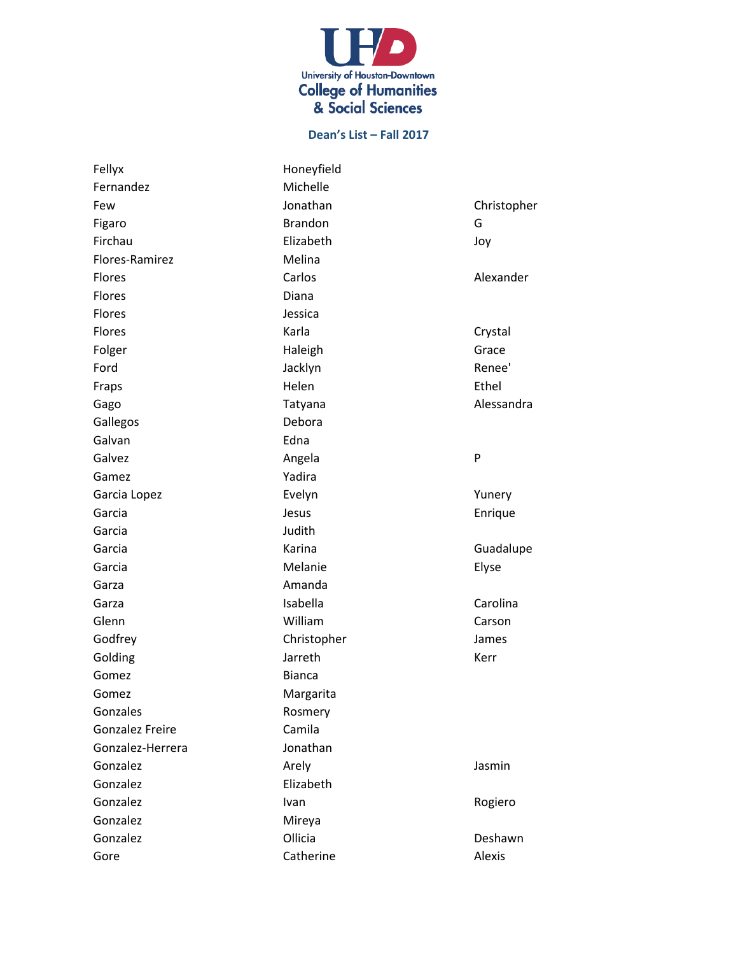

| Fellyx                 | Honeyfield     |             |
|------------------------|----------------|-------------|
| Fernandez              | Michelle       |             |
| Few                    | Jonathan       | Christopher |
| Figaro                 | <b>Brandon</b> | G           |
| Firchau                | Elizabeth      | Joy         |
| Flores-Ramirez         | Melina         |             |
| Flores                 | Carlos         | Alexander   |
| Flores                 | Diana          |             |
| Flores                 | Jessica        |             |
| Flores                 | Karla          | Crystal     |
| Folger                 | Haleigh        | Grace       |
| Ford                   | Jacklyn        | Renee'      |
| Fraps                  | Helen          | Ethel       |
| Gago                   | Tatyana        | Alessandra  |
| Gallegos               | Debora         |             |
| Galvan                 | Edna           |             |
| Galvez                 | Angela         | P           |
| Gamez                  | Yadira         |             |
| Garcia Lopez           | Evelyn         | Yunery      |
| Garcia                 | Jesus          | Enrique     |
| Garcia                 | Judith         |             |
| Garcia                 | Karina         | Guadalupe   |
| Garcia                 | Melanie        | Elyse       |
| Garza                  | Amanda         |             |
| Garza                  | Isabella       | Carolina    |
| Glenn                  | William        | Carson      |
| Godfrey                | Christopher    | James       |
| Golding                | Jarreth        | Kerr        |
| Gomez                  | <b>Bianca</b>  |             |
| Gomez                  | Margarita      |             |
| Gonzales               | Rosmery        |             |
| <b>Gonzalez Freire</b> | Camila         |             |
| Gonzalez-Herrera       | Jonathan       |             |
| Gonzalez               | Arely          | Jasmin      |
| Gonzalez               | Elizabeth      |             |
| Gonzalez               | Ivan           | Rogiero     |
| Gonzalez               | Mireya         |             |
| Gonzalez               | Ollicia        | Deshawn     |
| Gore                   | Catherine      | Alexis      |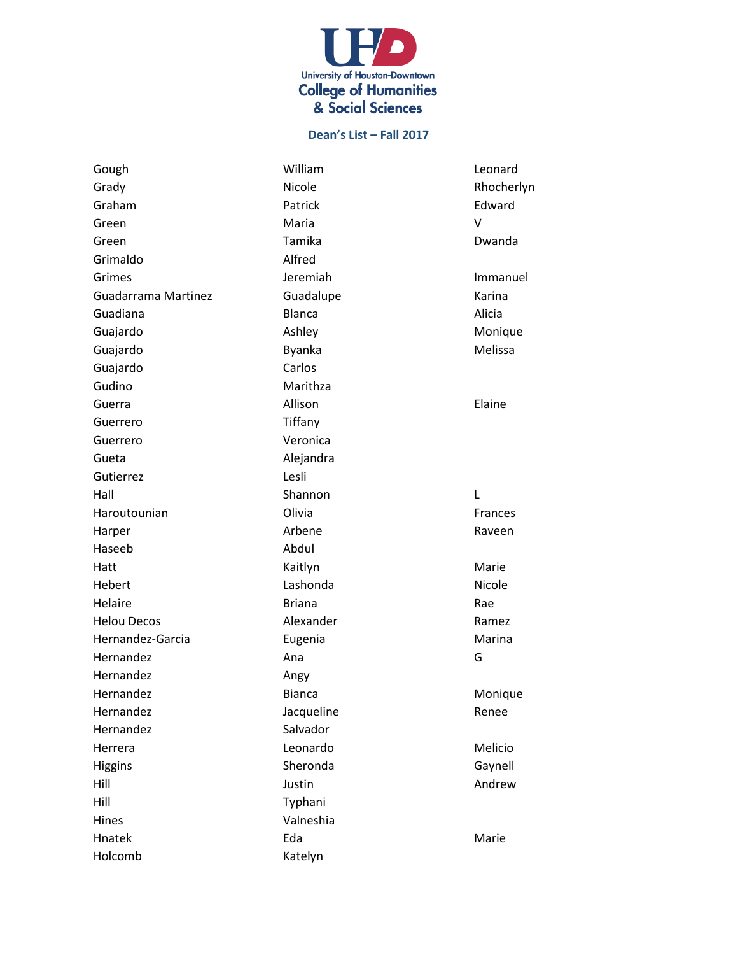

Gough William Leonard Grady Grady Nicole Nicole Rhocherlyn Graham **Patrick** Patrick **Edward** Green **Maria** Maria Maria Number of Number of Number of Number of Number of Number of Number of Number of Number of Number of Number of Number of Number of Number of Number of Number of Number of Number of Number of Number Green Tamika Dwanda Grimaldo Alfred Grimes **Immanuel Immanuel** Jeremiah **Immanuel** Guadarrama Martinez **Guadalupe Cuadalupe** Karina Guadiana Blanca Alicia Guajardo **Ashley** Ashley Ashley Monique Guajardo **Byanka** Byanka Melissa Guajardo Carlos Gudino Marithza Guerra **Allison** Allison **Elaine** Guerrero Tiffany Guerrero Veronica Gueta **Alejandra** Gutierrez Lesli Hall Shannon L Haroutounian Olivia Frances Harper **Arbene** Arbene **Raveen** Haseeb Abdul Hatt **Marie** Kaitlyn **Marie** Marie Hebert **Lashonda Lashonda** Nicole Helaire **Briana** Briana Rae Helou Decos **Alexander** Alexander Ramez Hernandez-Garcia **Eugenia** Eugenia Marina Hernandez Ana Ana G Hernandez **Angy** Hernandez Bianca Monique Hernandez Jacqueline **Marshall** Prenee Hernandez Salvador Herrera **Leonardo** Melicio Higgins **Sheronda** Gaynell Hill Justin Andrew Hill Typhani Hines Valneshia Hnatek **Eda** Eda Marie Holcomb Katelyn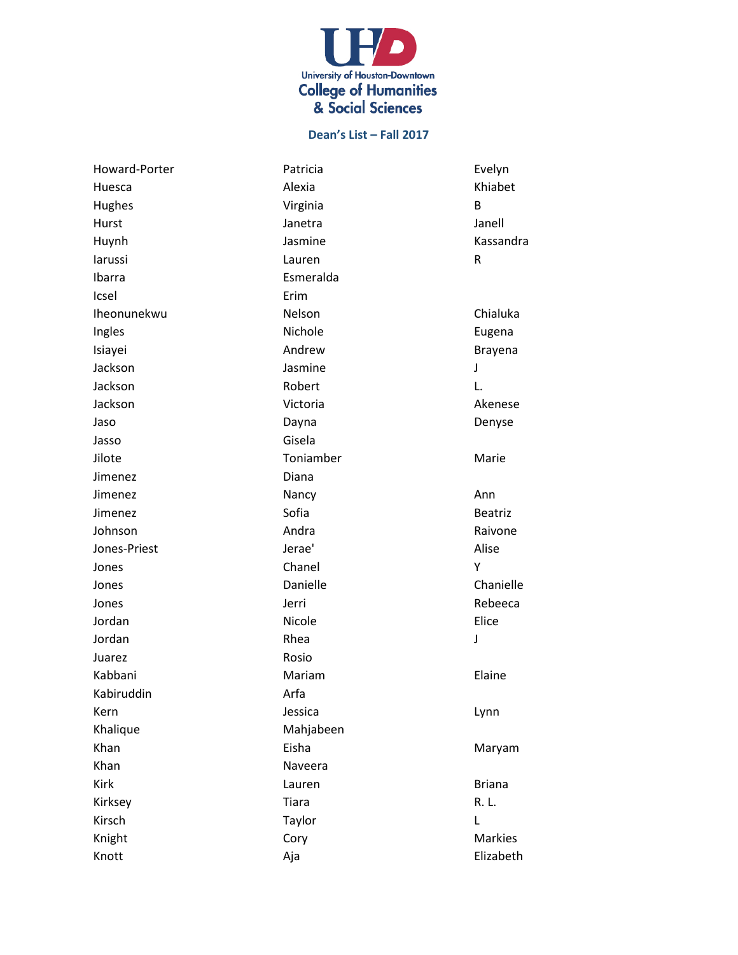

Ibarra **Esmeralda** Icsel Erim Jasso Gisela Jimenez Diana Juarez Rosio Kabiruddin Arfa Khalique Mahjabeen Khan Naveera

Howard-Porter **National Patricia** Patricia **Evelyn** Huesca Alexia Khiabet Hughes **B B CONFIDENTIAL** Hurst Janetra Janell Huynh Jasmine Kassandra larussi kalender in besteckning van die kalender van die kalender van die kalender van die kalender van die ka Iheonunekwu Nelson Chialuka Ingles **Nichole Eugena** Isiayei **Andrew Andrew Brayena** Jackson Jasmine J Jackson Robert L. Jackson Victoria Akenese Jaso Dayna Denyse Jilote Toniamber Marie Jimenez **Nancy Nancy Ann** Jimenez **Sofia** Beatriz Johnson **Andra** Andra **Andra** Raivone Jones-Priest Jerae' Alise Jones Chanel Y Jones **Danielle** Chanielle Chanielle Jones and the Mexican Service of the Mexican Service of the Mexican Service of the Rebeeca Jordan Nicole Elice Jordan Rhea J Kabbani **Mariam** Mariam **Elaine** Kern Jessica Lynn Khan **Eisha** Eisha Maryam Kirk **Europa Expedition Lauren** and Lauren and Lauren Briana Kirksey Tiara R. L. Kirsch Taylor L Knight **Cory Cory Contract Contract Contract Cory** Knott Aja Elizabeth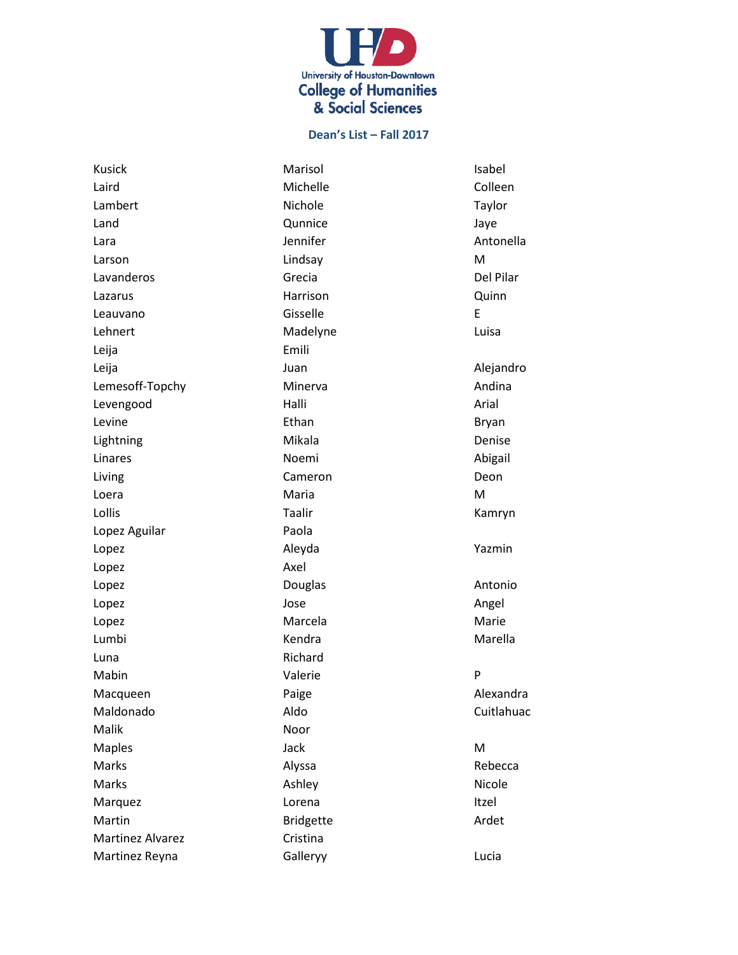

Laird **Colleen** Michelle **Colleen** Lambert **Nichole Communist Example 1** Land **Communice** Cunnice **Communice** State Communice Lara **International Manual Antonella** Jennifer Antonella Larson Lindsay M Lavanderos **Grecia** Grecia **Del Pilar** Lazarus **Machina Company Harrison** Harrison **Cuinn** Leauvano **Gisselle** E Lehnert Madelyne Macken Luisa Leija Emili Leija **Alejandro** Juan Juan Alejandro Lemesoff-Topchy Minerva Minerva Andina Levengood **Halli** Halli **Arial** Levine **Ethan** Ethan Bryan Lightning **Mikala** Denise Linares **Noemi** Noemi and a Abigail Living Cameron Deon Loera Maria M Lollis Taalir Kamryn Lopez Aguilar **Paola** Lopez Aleyda Yazmin Lopez Axel Lopez **Douglas Constanting Douglas Constanting Antonio** Lopez Jose Angel Lopez **Marcela** Marcela Marcela Marie Lumbi Kendra Marella Luna Richard Mabin Pharmaconae Valerie Pharmaconae Pharmaconae Pharmaconae Pharmaconae Pharmaconae Pharmaconae Ph Macqueen **Alexandra** Paige **Alexandra** Paige Maldonado **Aldo** Aldo Cuitlahuac Malik Noor Maples Manuel Communication of the Maples Manuel Communication of the Maple Communication of the Ma Marks **Alyssa** Alyssa **Rebecca** Marks **Ashley** Ashley **Ashley** Ashley Ashley **Nicole** Marquez **International Lorena** Communication and Lorena Itzel Martin **Martin** Bridgette **Ardet** Martinez Alvarez **Cristina** Martinez Reyna **Galleryy Calleryy Calleryy Callery CO** 

Kusick **Marisol** Marisol **Marisol** Isabel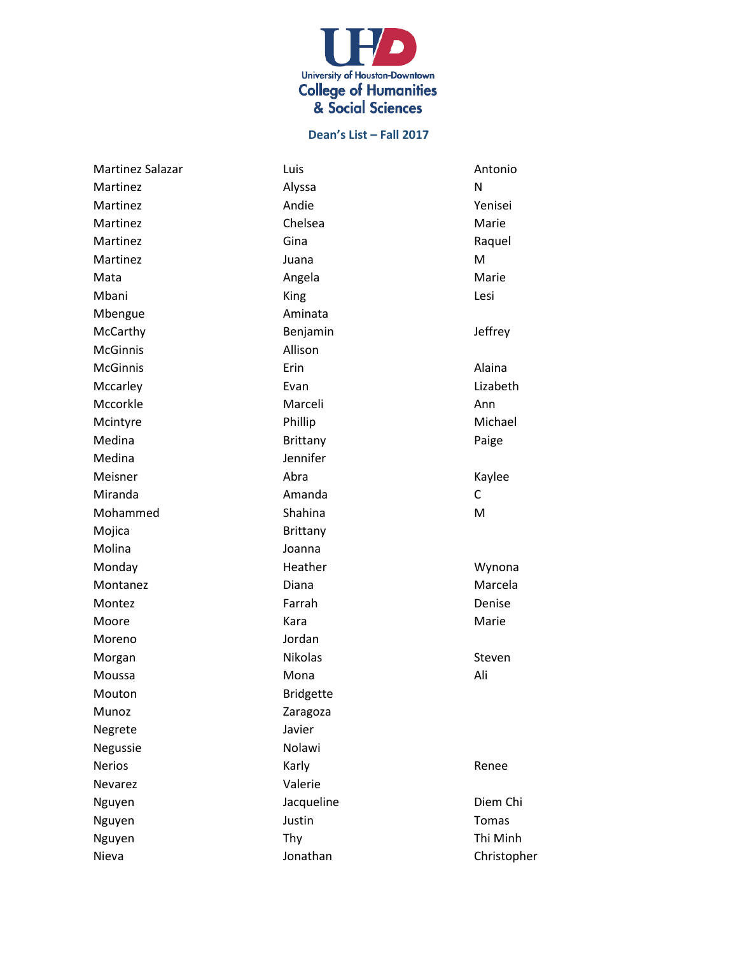

| Martinez Salazar | Luis             | Antonio   |
|------------------|------------------|-----------|
| Martinez         | Alyssa           | N         |
| Martinez         | Andie            | Yenisei   |
| Martinez         | Chelsea          | Marie     |
| Martinez         | Gina             | Raquel    |
| Martinez         | Juana            | M         |
| Mata             | Angela           | Marie     |
| Mbani            | King             | Lesi      |
| Mbengue          | Aminata          |           |
| McCarthy         | Benjamin         | Jeffrey   |
| <b>McGinnis</b>  | Allison          |           |
| <b>McGinnis</b>  | Erin             | Alaina    |
| Mccarley         | Evan             | Lizabeth  |
| Mccorkle         | Marceli          | Ann       |
| Mcintyre         | Phillip          | Michael   |
| Medina           | <b>Brittany</b>  | Paige     |
| Medina           | Jennifer         |           |
| Meisner          | Abra             | Kaylee    |
| Miranda          | Amanda           | C         |
| Mohammed         | Shahina          | M         |
| Mojica           | Brittany         |           |
| Molina           | Joanna           |           |
| Monday           | Heather          | Wynona    |
| Montanez         | Diana            | Marcela   |
| Montez           | Farrah           | Denise    |
| Moore            | Kara             | Marie     |
| Moreno           | Jordan           |           |
| Morgan           | Nikolas          | Steven    |
| Moussa           | Mona             | Ali       |
| Mouton           | <b>Bridgette</b> |           |
| Munoz            | Zaragoza         |           |
| Negrete          | Javier           |           |
| Negussie         | Nolawi           |           |
| <b>Nerios</b>    | Karly            | Renee     |
| Nevarez          | Valerie          |           |
| Nguyen           | Jacqueline       | Diem Chi  |
| Nguyen           | Justin           | Tomas     |
| Nguyen           | Thy              | Thi Minh  |
| Nieva            | Jonathan         | Christopl |

Christopher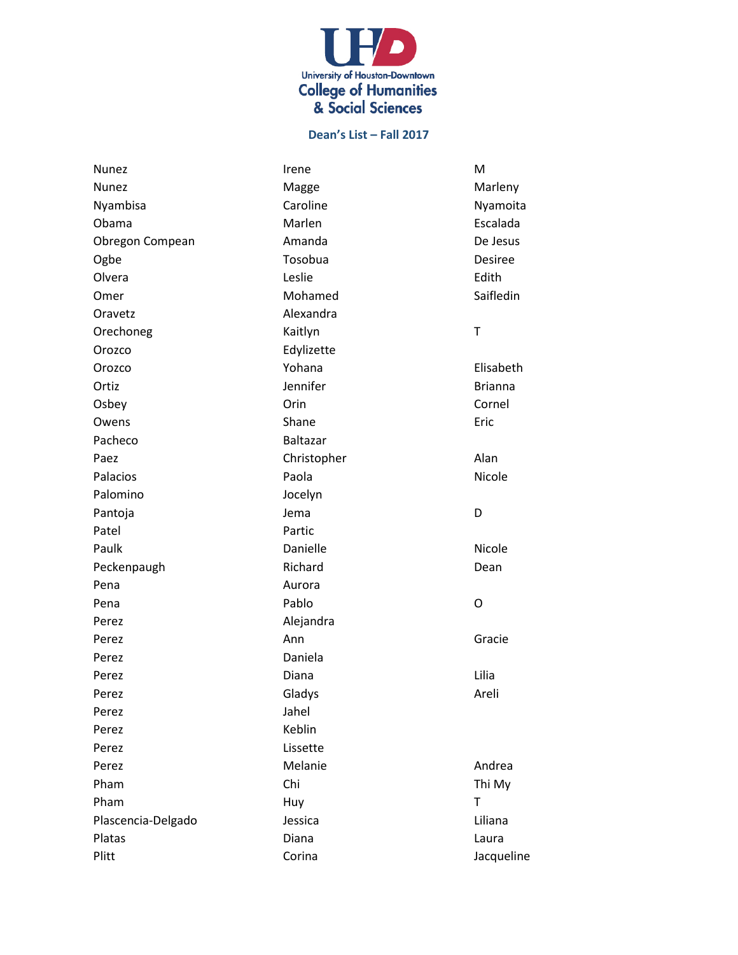

| Nunez              | Irene           | M              |
|--------------------|-----------------|----------------|
| <b>Nunez</b>       | Magge           | Marleny        |
| Nyambisa           | Caroline        | Nyamoita       |
| Obama              | Marlen          | Escalada       |
| Obregon Compean    | Amanda          | De Jesus       |
| Ogbe               | Tosobua         | <b>Desiree</b> |
| Olvera             | Leslie          | Edith          |
| Omer               | Mohamed         | Saifledin      |
| Oravetz            | Alexandra       |                |
| Orechoneg          | Kaitlyn         | T              |
| Orozco             | Edylizette      |                |
| Orozco             | Yohana          | Elisabeth      |
| Ortiz              | Jennifer        | <b>Brianna</b> |
| Osbey              | Orin            | Cornel         |
| Owens              | Shane           | Eric           |
| Pacheco            | <b>Baltazar</b> |                |
| Paez               | Christopher     | Alan           |
| Palacios           | Paola           | Nicole         |
| Palomino           | Jocelyn         |                |
| Pantoja            | Jema            | D              |
| Patel              | Partic          |                |
| Paulk              | Danielle        | Nicole         |
| Peckenpaugh        | Richard         | Dean           |
| Pena               | Aurora          |                |
| Pena               | Pablo           | O              |
| Perez              | Alejandra       |                |
| Perez              | Ann             | Gracie         |
| Perez              | Daniela         |                |
| Perez              | Diana           | Lilia          |
| Perez              | Gladys          | Areli          |
| Perez              | Jahel           |                |
| Perez              | Keblin          |                |
| Perez              | Lissette        |                |
| Perez              | Melanie         | Andrea         |
| Pham               | Chi             | Thi My         |
| Pham               | Huy             | T              |
| Plascencia-Delgado | Jessica         | Liliana        |
| Platas             | Diana           | Laura          |
| Plitt              | Corina          | Jacqueline     |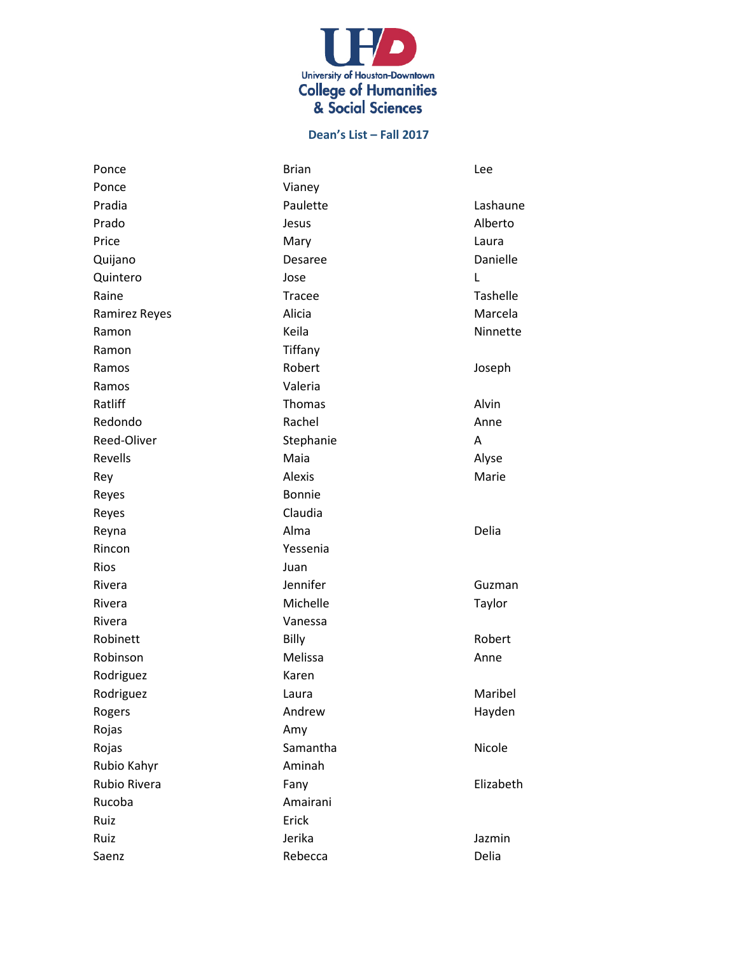

| Ponce         | <b>Brian</b>  | Lee       |
|---------------|---------------|-----------|
| Ponce         | Vianey        |           |
| Pradia        | Paulette      | Lashaune  |
| Prado         | Jesus         | Alberto   |
| Price         | Mary          | Laura     |
| Quijano       | Desaree       | Danielle  |
| Quintero      | Jose          | L         |
| Raine         | <b>Tracee</b> | Tashelle  |
| Ramirez Reyes | Alicia        | Marcela   |
| Ramon         | Keila         | Ninnette  |
| Ramon         | Tiffany       |           |
| Ramos         | Robert        | Joseph    |
| Ramos         | Valeria       |           |
| Ratliff       | <b>Thomas</b> | Alvin     |
| Redondo       | Rachel        | Anne      |
| Reed-Oliver   | Stephanie     | A         |
| Revells       | Maia          | Alyse     |
| Rey           | Alexis        | Marie     |
| Reyes         | <b>Bonnie</b> |           |
| Reyes         | Claudia       |           |
| Reyna         | Alma          | Delia     |
| Rincon        | Yessenia      |           |
| Rios          | Juan          |           |
| Rivera        | Jennifer      | Guzman    |
| Rivera        | Michelle      | Taylor    |
| Rivera        | Vanessa       |           |
| Robinett      | Billy         | Robert    |
| Robinson      | Melissa       | Anne      |
| Rodriguez     | Karen         |           |
| Rodriguez     | Laura         | Maribel   |
| Rogers        | Andrew        | Hayden    |
| Rojas         | Amy           |           |
| Rojas         | Samantha      | Nicole    |
| Rubio Kahyr   | Aminah        |           |
| Rubio Rivera  | Fany          | Elizabeth |
| Rucoba        | Amairani      |           |
| Ruiz          | Erick         |           |
| Ruiz          | Jerika        | Jazmin    |
| Saenz         | Rebecca       | Delia     |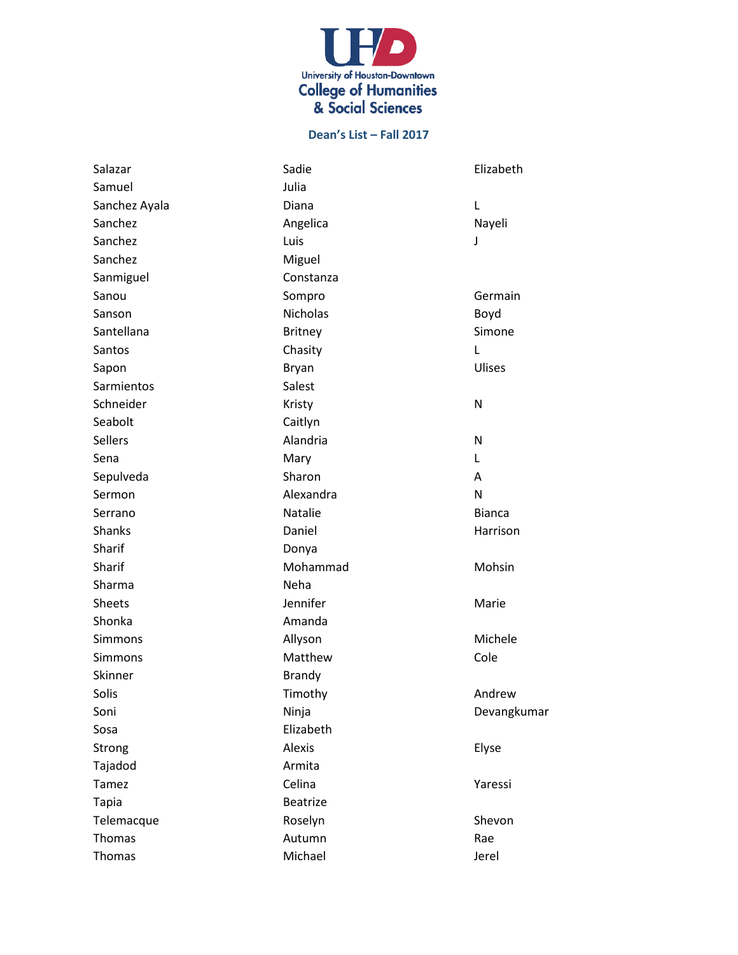

| Salazar        | Sadie           | Elizabeth     |
|----------------|-----------------|---------------|
| Samuel         | Julia           |               |
| Sanchez Ayala  | Diana           | L             |
| Sanchez        | Angelica        | Nayeli        |
| Sanchez        | Luis            | J             |
| Sanchez        | Miguel          |               |
| Sanmiguel      | Constanza       |               |
| Sanou          | Sompro          | Germain       |
| Sanson         | <b>Nicholas</b> | Boyd          |
| Santellana     | <b>Britney</b>  | Simone        |
| Santos         | Chasity         | L             |
| Sapon          | <b>Bryan</b>    | Ulises        |
| Sarmientos     | Salest          |               |
| Schneider      | Kristy          | N             |
| Seabolt        | Caitlyn         |               |
| <b>Sellers</b> | Alandria        | N             |
| Sena           | Mary            | L             |
| Sepulveda      | Sharon          | A             |
| Sermon         | Alexandra       | N             |
| Serrano        | Natalie         | <b>Bianca</b> |
| Shanks         | Daniel          | Harrison      |
| Sharif         | Donya           |               |
| Sharif         | Mohammad        | Mohsin        |
| Sharma         | Neha            |               |
| <b>Sheets</b>  | Jennifer        | Marie         |
| Shonka         | Amanda          |               |
| <b>Simmons</b> | Allyson         | Michele       |
| <b>Simmons</b> | Matthew         | Cole          |
| Skinner        | <b>Brandy</b>   |               |
| Solis          | Timothy         | Andrew        |
| Soni           | Ninja           | Devangkumar   |
| Sosa           | Elizabeth       |               |
| Strong         | Alexis          | Elyse         |
| Tajadod        | Armita          |               |
| Tamez          | Celina          | Yaressi       |
| <b>Tapia</b>   | <b>Beatrize</b> |               |
| Telemacque     | Roselyn         | Shevon        |
| Thomas         | Autumn          | Rae           |
| Thomas         | Michael         | Jerel         |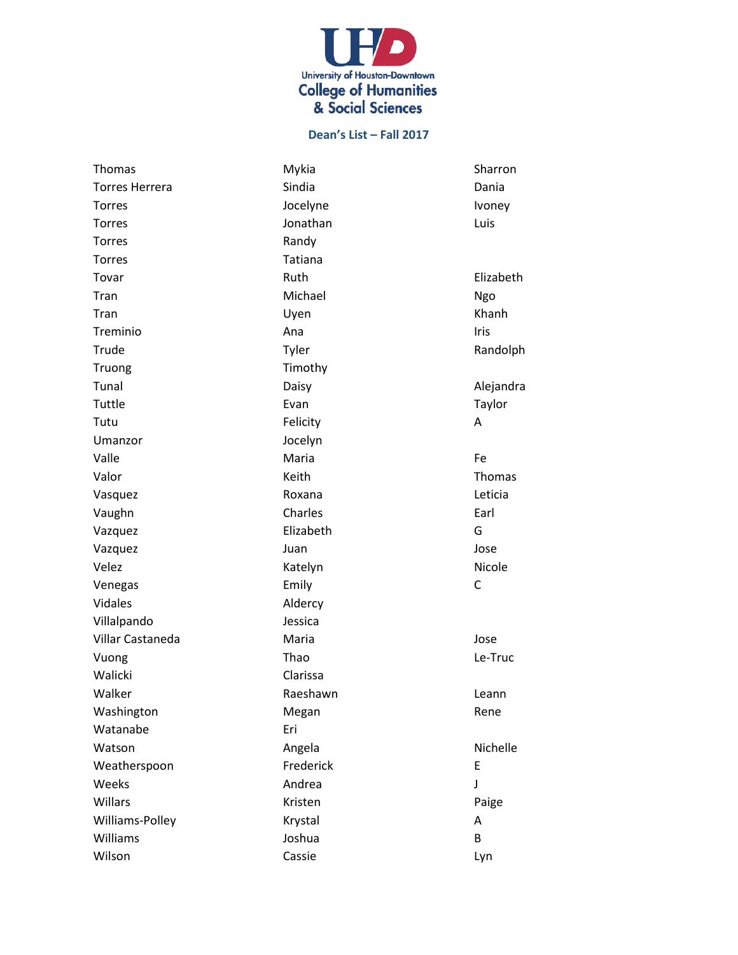

| Thomas                | Mykia     | Sharron   |
|-----------------------|-----------|-----------|
| <b>Torres Herrera</b> | Sindia    | Dania     |
| Torres                | Jocelyne  | Ivoney    |
| <b>Torres</b>         | Jonathan  | Luis      |
| <b>Torres</b>         | Randy     |           |
| Torres                | Tatiana   |           |
| Tovar                 | Ruth      | Elizabeth |
| Tran                  | Michael   | Ngo       |
| Tran                  | Uyen      | Khanh     |
| Treminio              | Ana       | Iris      |
| Trude                 | Tyler     | Randolph  |
| Truong                | Timothy   |           |
| Tunal                 | Daisy     | Alejandra |
| Tuttle                | Evan      | Taylor    |
| Tutu                  | Felicity  | А         |
| Umanzor               | Jocelyn   |           |
| Valle                 | Maria     | Fe        |
| Valor                 | Keith     | Thomas    |
| Vasquez               | Roxana    | Leticia   |
| Vaughn                | Charles   | Earl      |
| Vazquez               | Elizabeth | G         |
| Vazquez               | Juan      | Jose      |
| Velez                 | Katelyn   | Nicole    |
| Venegas               | Emily     | С         |
| Vidales               | Aldercy   |           |
| Villalpando           | Jessica   |           |
| Villar Castaneda      | Maria     | Jose      |
| Vuong                 | Thao      | Le-Truc   |
| Walicki               | Clarissa  |           |
| Walker                | Raeshawn  | Leann     |
| Washington            | Megan     | Rene      |
| Watanabe              | Eri       |           |
| Watson                | Angela    | Nichelle  |
| Weatherspoon          | Frederick | E         |
| Weeks                 | Andrea    | J         |
| Willars               | Kristen   | Paige     |
| Williams-Polley       | Krystal   | А         |
| <b>Williams</b>       | Joshua    | B         |
| Wilson                | Cassie    | Lyn       |